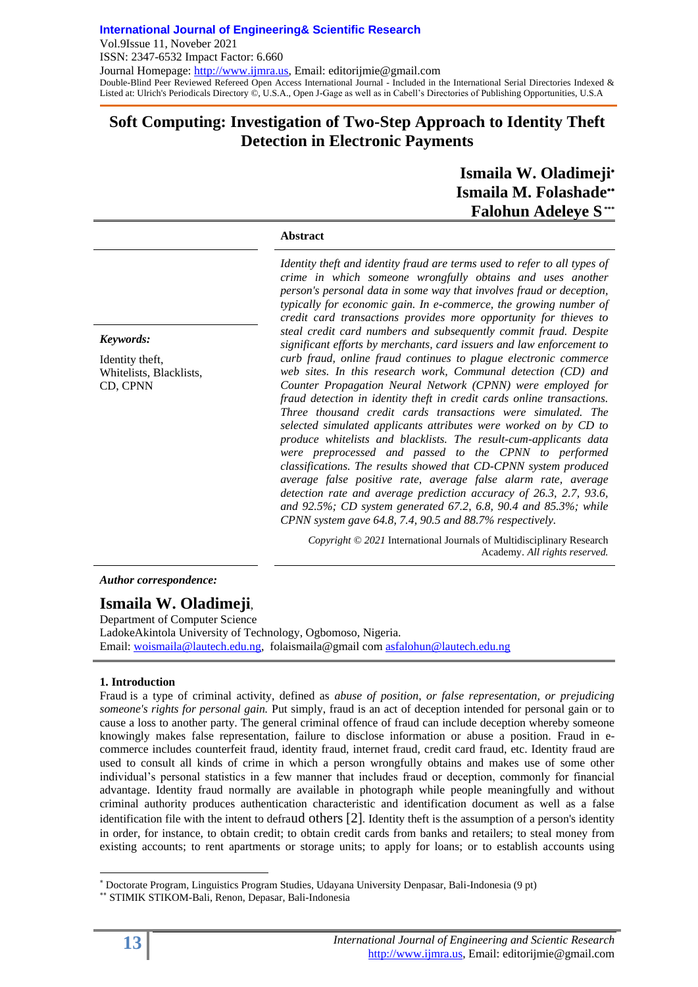# **Soft Computing: Investigation of Two-Step Approach to Identity Theft Detection in Electronic Payments**

# **Ismaila W. Oladimeji Ismaila M. Folashade Falohun Adeleye S \*\*\***

### **Abstract**

*Identity theft and identity fraud are terms used to refer to all types of crime in which someone wrongfully obtains and uses another person's personal data in some way that involves fraud or deception, typically for economic gain. In e-commerce, the growing number of credit card transactions provides more opportunity for thieves to steal credit card numbers and subsequently commit fraud. Despite significant efforts by merchants, card issuers and law enforcement to curb fraud, online fraud continues to plague electronic commerce web sites. In this research work, Communal detection (CD) and Counter Propagation Neural Network (CPNN) were employed for fraud detection in identity theft in credit cards online transactions. Three thousand credit cards transactions were simulated. The selected simulated applicants attributes were worked on by CD to produce whitelists and blacklists. The result-cum-applicants data were preprocessed and passed to the CPNN to performed classifications. The results showed that CD-CPNN system produced average false positive rate, average false alarm rate, average detection rate and average prediction accuracy of 26.3, 2.7, 93.6, and 92.5%; CD system generated 67.2, 6.8, 90.4 and 85.3%; while CPNN system gave 64.8, 7.4, 90.5 and 88.7% respectively.* 

*Copyright © 2021* International Journals of Multidisciplinary Research Academy. *All rights reserved.*

*Author correspondence:*

# **Ismaila W. Oladimeji**,

Department of Computer Science LadokeAkintola University of Technology, Ogbomoso, Nigeria. Email: [woismaila@lautech.edu.ng,](mailto:woismaila@lautech.edu.ng) folaismaila@gmail com [asfalohun@lautech.edu.ng](mailto:asfalohun@lautech.edu.ng)

# **1. Introduction**

Fraud is a type of criminal activity, defined as *abuse of position, or false representation, or prejudicing someone's rights for personal gain.* Put simply, fraud is an act of deception intended for personal gain or to cause a loss to another party. The general criminal offence of fraud can include deception whereby someone knowingly makes false representation, failure to disclose information or abuse a position. Fraud in ecommerce includes counterfeit fraud, identity fraud, internet fraud, credit card fraud, etc. Identity fraud are used to consult all kinds of crime in which a person wrongfully obtains and makes use of some other individual's personal statistics in a few manner that includes fraud or deception, commonly for financial advantage. Identity fraud normally are available in photograph while people meaningfully and without criminal authority produces authentication characteristic and identification document as well as a false identification file with the intent to defraud others [2]. [Identity theft](https://legal-dictionary.thefreedictionary.com/identity+theft) is the assumption of a person's identity in order, for instance, to obtain credit; to obtain credit cards from banks and retailers; to steal money from existing accounts; to rent apartments or storage units; to apply for loans; or to establish accounts using

# *Keywords:*

Identity theft, Whitelists, Blacklists, CD, CPNN

l

Doctorate Program, Linguistics Program Studies, Udayana University Denpasar, Bali-Indonesia (9 pt)

STIMIK STIKOM-Bali, Renon, Depasar, Bali-Indonesia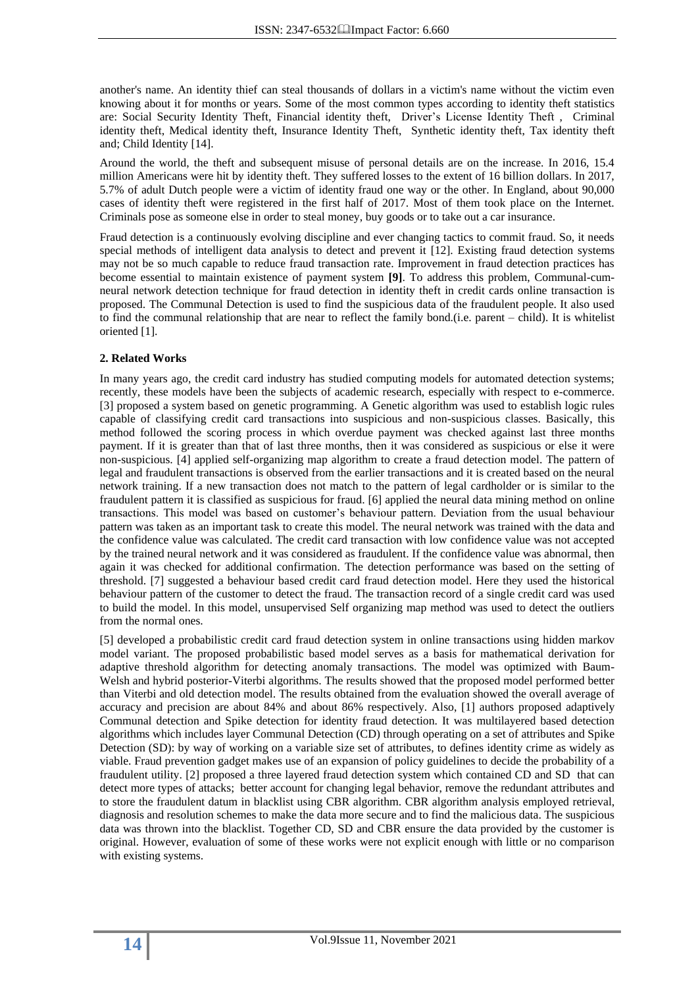another's name. An identity thief can steal thousands of dollars in a victim's name without the victim even knowing about it for months or years. Some of the most common types according to identity theft statistics are: [Social Security Identity Theft,](https://www.mountainalarm.com/blog/social-security-identity-theft/) Financial identity theft, [Driver's License Identity Theft](https://www.mountainalarm.com/blog/how-to-prevent-drivers-license-identity-theft/) , Criminal identity theft, Medical identity theft, Insurance Identity Theft, Synthetic identity theft, Tax identity theft and; Child Identity [14].

Around the world, the theft and subsequent misuse of personal details are on the increase. In 2016, 15.4 million Americans were hit by identity theft. They suffered losses to the extent of 16 billion dollars. In 2017, 5.7% of adult Dutch people were a victim of identity fraud one way or the other. In England, about 90,000 cases of identity theft were registered in the first half of 2017. Most of them took place on the Internet. Criminals pose as someone else in order to steal money, buy goods or to take out a car insurance.

Fraud detection is a continuously evolving discipline and ever changing tactics to commit fraud. So, it needs special methods of intelligent data analysis to detect and prevent it [12]. Existing fraud detection systems may not be so much capable to reduce fraud transaction rate. Improvement in fraud detection practices has become essential to maintain existence of payment system **[9]**. To address this problem, Communal-cumneural network detection technique for fraud detection in identity theft in credit cards online transaction is proposed. The Communal Detection is used to find the suspicious data of the fraudulent people. It also used to find the communal relationship that are near to reflect the family bond.(i.e. parent – child). It is whitelist oriented [1].

### **2. Related Works**

In many years ago, the credit card industry has studied computing models for automated detection systems; recently, these models have been the subjects of academic research, especially with respect to e-commerce. [3] proposed a system based on genetic programming. A Genetic algorithm was used to establish logic rules capable of classifying credit card transactions into suspicious and non-suspicious classes. Basically, this method followed the scoring process in which overdue payment was checked against last three months payment. If it is greater than that of last three months, then it was considered as suspicious or else it were non-suspicious. [4] applied self-organizing map algorithm to create a fraud detection model. The pattern of legal and fraudulent transactions is observed from the earlier transactions and it is created based on the neural network training. If a new transaction does not match to the pattern of legal cardholder or is similar to the fraudulent pattern it is classified as suspicious for fraud. [6] applied the neural data mining method on online transactions. This model was based on customer's behaviour pattern. Deviation from the usual behaviour pattern was taken as an important task to create this model. The neural network was trained with the data and the confidence value was calculated. The credit card transaction with low confidence value was not accepted by the trained neural network and it was considered as fraudulent. If the confidence value was abnormal, then again it was checked for additional confirmation. The detection performance was based on the setting of threshold. [7] suggested a behaviour based credit card fraud detection model. Here they used the historical behaviour pattern of the customer to detect the fraud. The transaction record of a single credit card was used to build the model. In this model, unsupervised Self organizing map method was used to detect the outliers from the normal ones.

[5] developed a probabilistic credit card fraud detection system in online transactions using hidden markov model variant. The proposed probabilistic based model serves as a basis for mathematical derivation for adaptive threshold algorithm for detecting anomaly transactions. The model was optimized with Baum-Welsh and hybrid posterior-Viterbi algorithms. The results showed that the proposed model performed better than Viterbi and old detection model. The results obtained from the evaluation showed the overall average of accuracy and precision are about 84% and about 86% respectively. Also, [1] authors proposed adaptively Communal detection and Spike detection for identity fraud detection. It was multilayered based detection algorithms which includes layer Communal Detection (CD) through operating on a set of attributes and Spike Detection (SD): by way of working on a variable size set of attributes, to defines identity crime as widely as viable. Fraud prevention gadget makes use of an expansion of policy guidelines to decide the probability of a fraudulent utility. [2] proposed a three layered fraud detection system which contained CD and SD that can detect more types of attacks; better account for changing legal behavior, remove the redundant attributes and to store the fraudulent datum in blacklist using CBR algorithm. CBR algorithm analysis employed retrieval, diagnosis and resolution schemes to make the data more secure and to find the malicious data. The suspicious data was thrown into the blacklist. Together CD, SD and CBR ensure the data provided by the customer is original. However, evaluation of some of these works were not explicit enough with little or no comparison with existing systems.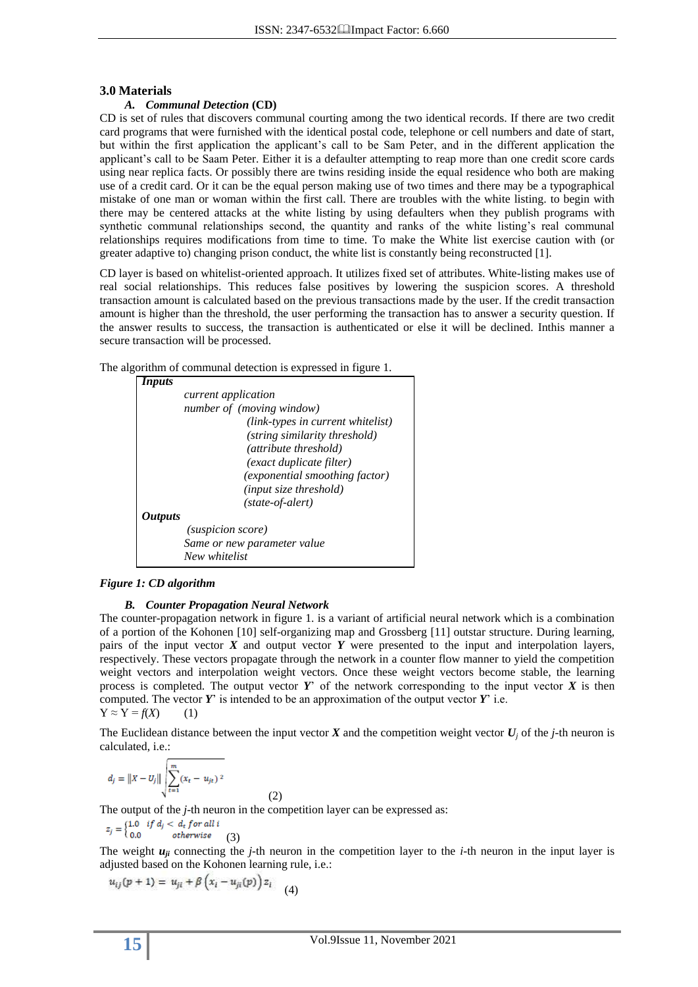### **3.0 Materials**

### *A. Communal Detection* **(CD)**

CD is set of rules that discovers communal courting among the two identical records. If there are two credit card programs that were furnished with the identical postal code, telephone or cell numbers and date of start, but within the first application the applicant's call to be Sam Peter, and in the different application the applicant's call to be Saam Peter. Either it is a defaulter attempting to reap more than one credit score cards using near replica facts. Or possibly there are twins residing inside the equal residence who both are making use of a credit card. Or it can be the equal person making use of two times and there may be a typographical mistake of one man or woman within the first call. There are troubles with the white listing. to begin with there may be centered attacks at the white listing by using defaulters when they publish programs with synthetic communal relationships second, the quantity and ranks of the white listing's real communal relationships requires modifications from time to time. To make the White list exercise caution with (or greater adaptive to) changing prison conduct, the white list is constantly being reconstructed [1].

CD layer is based on whitelist-oriented approach. It utilizes fixed set of attributes. White-listing makes use of real social relationships. This reduces false positives by lowering the suspicion scores. A threshold transaction amount is calculated based on the previous transactions made by the user. If the credit transaction amount is higher than the threshold, the user performing the transaction has to answer a security question. If the answer results to success, the transaction is authenticated or else it will be declined. Inthis manner a secure transaction will be processed.

The algorithm of communal detection is expressed in figure 1.



### *Figure 1: CD algorithm*

### *B. Counter Propagation Neural Network*

The counter-propagation network in figure 1. is a variant of artificial neural network which is a combination of a portion of the Kohonen [10] self-organizing map and Grossberg [11] outstar structure. During learning, pairs of the input vector *X* and output vector *Y* were presented to the input and interpolation layers, respectively. These vectors propagate through the network in a counter flow manner to yield the competition weight vectors and interpolation weight vectors. Once these weight vectors become stable, the learning process is completed. The output vector  $Y'$  of the network corresponding to the input vector  $X$  is then computed. The vector *Y*' is intended to be an approximation of the output vector *Y*' i.e.  $Y \approx Y = f(X)$  (1)

The Euclidean distance between the input vector  $\vec{X}$  and the competition weight vector  $\vec{U}_i$  of the *j*-th neuron is calculated, i.e.:

$$
d_j = ||x - U_j|| \sqrt{\sum_{t=1}^{m} (x_t - u_{jt})^2}
$$

(2) The output of the *j*-th neuron in the competition layer can be expressed as:

$$
z_j = \begin{cases} 1.0 & if \ d_j < d_t \ for \ all \ i \\ 0.0 & otherwise \end{cases} \tag{3}
$$

The weight  $u_{ji}$  connecting the *j*-th neuron in the competition layer to the *i*-th neuron in the input layer is adjusted based on the Kohonen learning rule, i.e.:

$$
u_{ij}(p+1) = u_{ji} + \beta \left( x_i - u_{ji}(p) \right) z_i \tag{4}
$$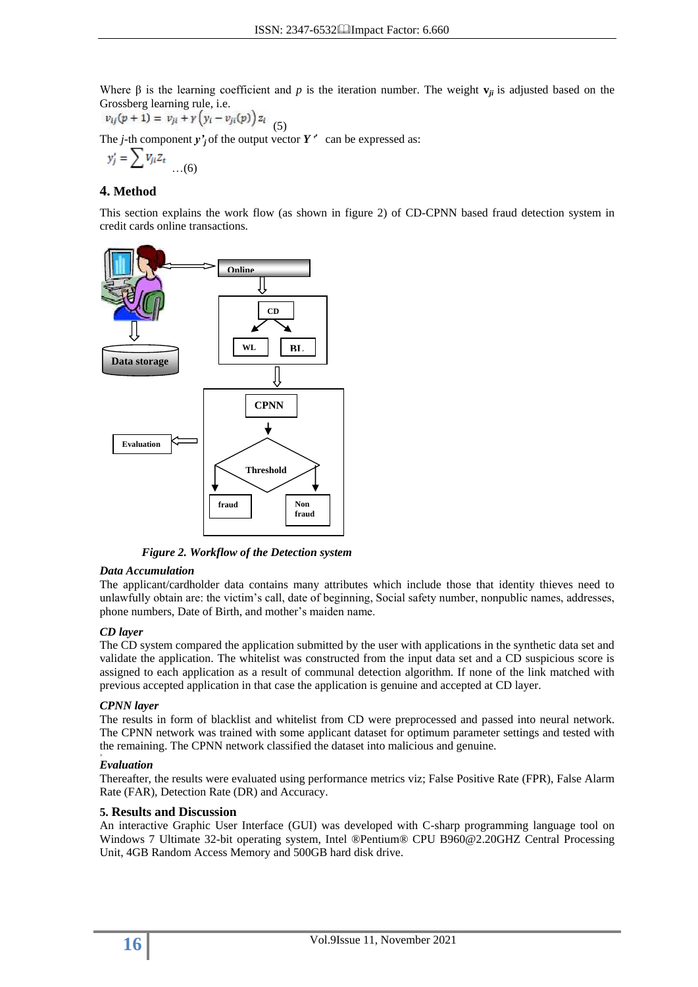Where  $\beta$  is the learning coefficient and *p* is the iteration number. The weight  $\mathbf{v}_{ji}$  is adjusted based on the Grossberg learning rule, i.e.

 $v_{ij}(p + 1) = v_{ji} + \gamma (y_i - v_{ji}(p)) z_i$  $(5)$ 

The *j*-th component  $y'$ <sup>*j*</sup> of the output vector  $Y'$  can be expressed as:

$$
y'_j = \sum V_{ji} Z_t \quad \dots (6)
$$

# **4. Method**

This section explains the work flow (as shown in figure 2) of CD-CPNN based fraud detection system in credit cards online transactions.



*Figure 2. Workflow of the Detection system*

### *Data Accumulation*

The applicant/cardholder data contains many attributes which include those that identity thieves need to unlawfully obtain are: the victim's call, date of beginning, Social safety number, nonpublic names, addresses, phone numbers, Date of Birth, and mother's maiden name.

# *CD layer*

The CD system compared the application submitted by the user with applications in the synthetic data set and validate the application. The whitelist was constructed from the input data set and a CD suspicious score is assigned to each application as a result of communal detection algorithm. If none of the link matched with previous accepted application in that case the application is genuine and accepted at CD layer.

# *CPNN layer*

The results in form of blacklist and whitelist from CD were preprocessed and passed into neural network. The CPNN network was trained with some applicant dataset for optimum parameter settings and tested with the remaining. The CPNN network classified the dataset into malicious and genuine.

#### *> Evaluation*

Thereafter, the results were evaluated using performance metrics viz; False Positive Rate (FPR), False Alarm Rate (FAR), Detection Rate (DR) and Accuracy.

# **5. Results and Discussion**

An interactive Graphic User Interface (GUI) was developed with C-sharp programming language tool on Windows 7 Ultimate 32-bit operating system, Intel ®Pentium® CPU B960@2.20GHZ Central Processing Unit, 4GB Random Access Memory and 500GB hard disk drive.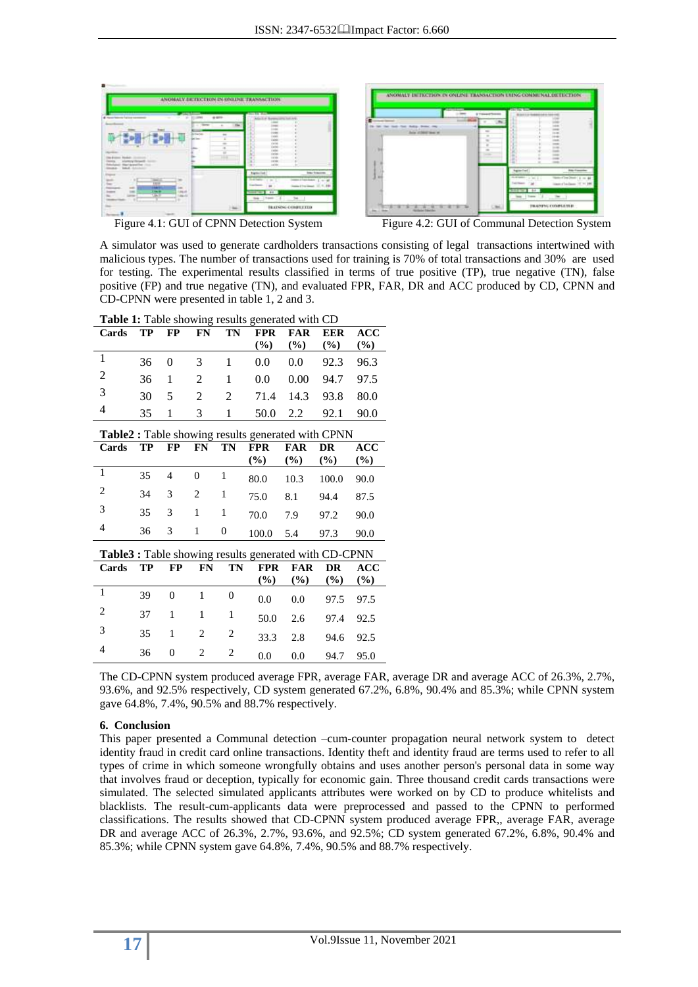

Figure 4.1: GUI of CPNN Detection System Figure 4.2: GUI of Communal Detection System

A simulator was used to generate cardholders transactions consisting of legal transactions intertwined with malicious types. The number of transactions used for training is 70% of total transactions and 30% are used for testing. The experimental results classified in terms of true positive (TP), true negative (TN), false positive (FP) and true negative (TN), and evaluated FPR, FAR, DR and ACC produced by CD, CPNN and CD-CPNN were presented in table 1, 2 and 3.

| Cards                                                 | TP        | $\bf FP$       | <b>FN</b> | TN               | <b>FPR</b><br>$(\%)$ | <b>FAR</b><br>$(\%)$ | <b>EER</b><br>$(\%)$ | ACC<br>$(\%)$ |
|-------------------------------------------------------|-----------|----------------|-----------|------------------|----------------------|----------------------|----------------------|---------------|
| 1                                                     | 36        | 0              | 3         | 1                | 0.0                  | 0.0                  | 92.3                 | 96.3          |
| 2                                                     | 36        | 1              | 2         | $\mathbf{1}$     | 0.0                  | 0.00                 | 94.7                 | 97.5          |
| 3                                                     | 30        | 5              | 2         | 2                | 71.4                 | 14.3                 | 93.8                 | 80.0          |
| 4                                                     | 35        | 1              | 3         | 1                | 50.0                 | 2.2                  | 92.1                 | 90.0          |
| Table2 : Table showing results generated with CPNN    |           |                |           |                  |                      |                      |                      |               |
| Cards                                                 | <b>TP</b> | <b>FP</b>      | <b>FN</b> | TN               | <b>FPR</b>           | <b>FAR</b>           | DR                   | ACC           |
|                                                       |           |                |           |                  | $(\%)$               | $(\%)$               | $(\%)$               | $(\%)$        |
| $\mathbf{1}$                                          | 35        | 4              | $\Omega$  | 1                | 80.0                 | 10.3                 | 100.0                | 90.0          |
| $\overline{2}$                                        | 34        | 3              | 2         | 1                | 75.0                 | 8.1                  | 94.4                 | 87.5          |
| 3                                                     | 35        | 3              | 1         | 1                | 70.0                 | 7.9                  | 97.2                 | 90.0          |
| 4                                                     | 36        | 3              | 1         | $\boldsymbol{0}$ | 100.0                | 5.4                  | 97.3                 | 90.0          |
|                                                       |           |                |           |                  |                      |                      |                      |               |
| Table3 : Table showing results generated with CD-CPNN |           |                |           |                  |                      |                      |                      |               |
| Cards                                                 | TP        | FP             | <b>FN</b> | TN               | <b>FPR</b>           | <b>FAR</b>           | <b>DR</b>            | <b>ACC</b>    |
|                                                       |           |                |           |                  | (%)                  | $(\%)$               | $(\%)$               | $\frac{6}{2}$ |
| 1                                                     | 39        | $\overline{0}$ | 1         | $\overline{0}$   | 0.0                  | 0.0                  | 97.5                 | 97.5          |
| 2                                                     | 37        | 1              | 1         | 1                | 50.0                 | 2.6                  | 97.4                 | 92.5          |

<sup>3</sup> <sup>35</sup> <sup>1</sup> <sup>2</sup> <sup>2</sup> 33.3 2.8 94.6 92.5 <sup>4</sup> <sup>36</sup> <sup>0</sup> <sup>2</sup> <sup>2</sup> 0.0 0.0 94.7 95.0

**Table 1:** Table showing results generated with CD

The CD-CPNN system produced average FPR, average FAR, average DR and average ACC of 26.3%, 2.7%, 93.6%, and 92.5% respectively, CD system generated 67.2%, 6.8%, 90.4% and 85.3%; while CPNN system gave 64.8%, 7.4%, 90.5% and 88.7% respectively.

# **6. Conclusion**

This paper presented a Communal detection –cum-counter propagation neural network system to detect identity fraud in credit card online transactions. Identity theft and identity fraud are terms used to refer to all types of crime in which someone wrongfully obtains and uses another person's personal data in some way that involves fraud or deception, typically for economic gain. Three thousand credit cards transactions were simulated. The selected simulated applicants attributes were worked on by CD to produce whitelists and blacklists. The result-cum-applicants data were preprocessed and passed to the CPNN to performed classifications. The results showed that CD-CPNN system produced average FPR,, average FAR, average DR and average ACC of 26.3%, 2.7%, 93.6%, and 92.5%; CD system generated 67.2%, 6.8%, 90.4% and 85.3%; while CPNN system gave 64.8%, 7.4%, 90.5% and 88.7% respectively.